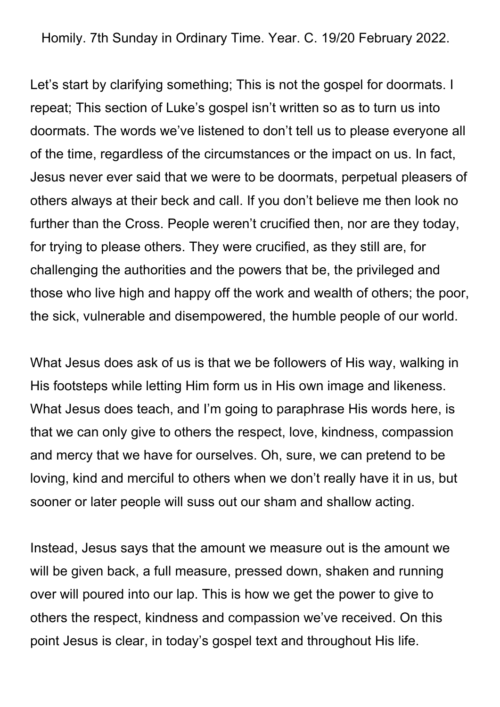Homily. 7th Sunday in Ordinary Time. Year. C. 19/20 February 2022.

Let's start by clarifying something; This is not the gospel for doormats. I repeat; This section of Luke's gospel isn't written so as to turn us into doormats. The words we've listened to don't tell us to please everyone all of the time, regardless of the circumstances or the impact on us. In fact, Jesus never ever said that we were to be doormats, perpetual pleasers of others always at their beck and call. If you don't believe me then look no further than the Cross. People weren't crucified then, nor are they today, for trying to please others. They were crucified, as they still are, for challenging the authorities and the powers that be, the privileged and those who live high and happy off the work and wealth of others; the poor, the sick, vulnerable and disempowered, the humble people of our world.

What Jesus does ask of us is that we be followers of His way, walking in His footsteps while letting Him form us in His own image and likeness. What Jesus does teach, and I'm going to paraphrase His words here, is that we can only give to others the respect, love, kindness, compassion and mercy that we have for ourselves. Oh, sure, we can pretend to be loving, kind and merciful to others when we don't really have it in us, but sooner or later people will suss out our sham and shallow acting.

Instead, Jesus says that the amount we measure out is the amount we will be given back, a full measure, pressed down, shaken and running over will poured into our lap. This is how we get the power to give to others the respect, kindness and compassion we've received. On this point Jesus is clear, in today's gospel text and throughout His life.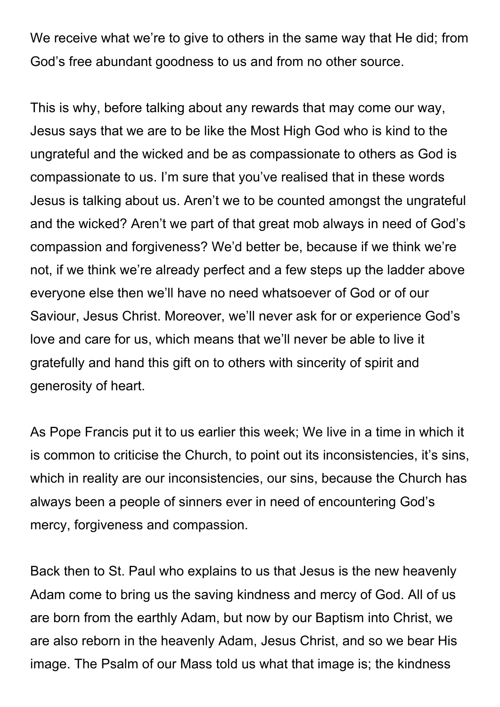We receive what we're to give to others in the same way that He did; from God's free abundant goodness to us and from no other source.

This is why, before talking about any rewards that may come our way, Jesus says that we are to be like the Most High God who is kind to the ungrateful and the wicked and be as compassionate to others as God is compassionate to us. I'm sure that you've realised that in these words Jesus is talking about us. Aren't we to be counted amongst the ungrateful and the wicked? Aren't we part of that great mob always in need of God's compassion and forgiveness? We'd better be, because if we think we're not, if we think we're already perfect and a few steps up the ladder above everyone else then we'll have no need whatsoever of God or of our Saviour, Jesus Christ. Moreover, we'll never ask for or experience God's love and care for us, which means that we'll never be able to live it gratefully and hand this gift on to others with sincerity of spirit and generosity of heart.

As Pope Francis put it to us earlier this week; We live in a time in which it is common to criticise the Church, to point out its inconsistencies, it's sins, which in reality are our inconsistencies, our sins, because the Church has always been a people of sinners ever in need of encountering God's mercy, forgiveness and compassion.

Back then to St. Paul who explains to us that Jesus is the new heavenly Adam come to bring us the saving kindness and mercy of God. All of us are born from the earthly Adam, but now by our Baptism into Christ, we are also reborn in the heavenly Adam, Jesus Christ, and so we bear His image. The Psalm of our Mass told us what that image is; the kindness